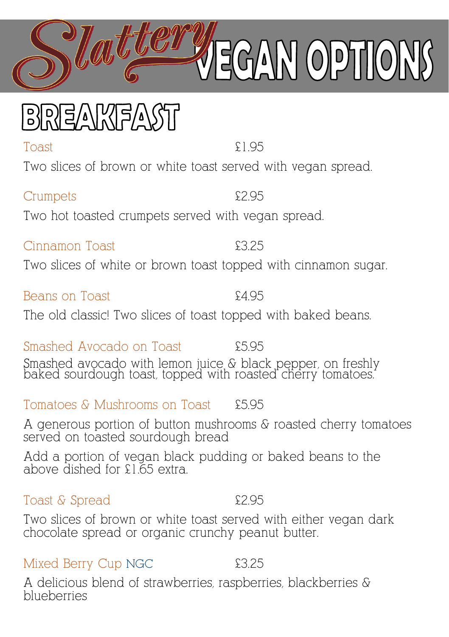Toast £1.95

Two slices of brown or white toast served with vegan spread.

Crumpets £2.95 Two hot toasted crumpets served with vegan spread.

Two slices of white or brown toast topped with cinnamon sugar.

Beans on Toast **Example 34.95** The old classic! Two slices of toast topped with baked beans.

Smashed Avocado on Toast **£5.95** Smashed avocado with lemon juice & black pepper, on freshly baked sourdough toast, topped with roasted cherry tomatoes.

Tomatoes & Mushrooms on Toast £5.95

Cinnamon Toast £3.25

A generous portion of button mushrooms & roasted cherry tomatoes served on toasted sourdough bread

Add a portion of vegan black pudding or baked beans to the above dished for £1.65 extra.

Toast & Spread  $\epsilon$ 2.95

Two slices of brown or white toast served with either vegan dark chocolate spread or organic crunchy peanut butter.

Mixed Berry Cup NGC  $\qquad \qquad$  £3.25

A delicious blend of strawberries, raspberries, blackberries & blueberries

BREAKTEAST

GAN OPTION